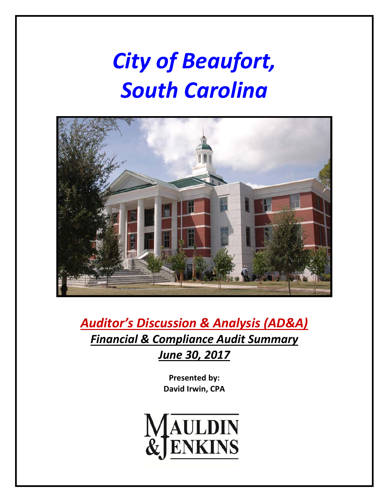# *City of Beaufort, South Carolina*



*Auditor's Discussion & Analysis (AD&A) Financial & Compliance Audit Summary June 30, 2017*

> **Presented by: David Irwin, CPA**

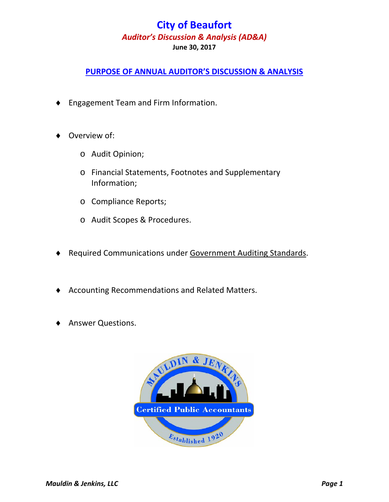### **PURPOSE OF ANNUAL AUDITOR'S DISCUSSION & ANALYSIS**

- Engagement Team and Firm Information.
- Overview of:
	- o Audit Opinion;
	- o Financial Statements, Footnotes and Supplementary Information;
	- o Compliance Reports;
	- o Audit Scopes & Procedures.
- ◆ Required Communications under Government Auditing Standards.
- Accounting Recommendations and Related Matters.
- Answer Questions.

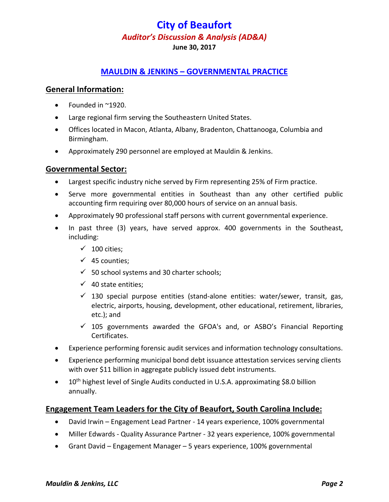#### **MAULDIN & JENKINS – GOVERNMENTAL PRACTICE**

#### **General Information:**

- Founded in ~1920.
- Large regional firm serving the Southeastern United States.
- Offices located in Macon, Atlanta, Albany, Bradenton, Chattanooga, Columbia and Birmingham.
- Approximately 290 personnel are employed at Mauldin & Jenkins.

#### **Governmental Sector:**

- Largest specific industry niche served by Firm representing 25% of Firm practice.
- Serve more governmental entities in Southeast than any other certified public accounting firm requiring over 80,000 hours of service on an annual basis.
- Approximately 90 professional staff persons with current governmental experience.
- In past three (3) years, have served approx. 400 governments in the Southeast, including:
	- $\checkmark$  100 cities:
	- $\checkmark$  45 counties;
	- $\checkmark$  50 school systems and 30 charter schools;
	- $\checkmark$  40 state entities:
	- $\checkmark$  130 special purpose entities (stand-alone entities: water/sewer, transit, gas, electric, airports, housing, development, other educational, retirement, libraries, etc.); and
	- $\checkmark$  105 governments awarded the GFOA's and, or ASBO's Financial Reporting Certificates.
- Experience performing forensic audit services and information technology consultations.
- Experience performing municipal bond debt issuance attestation services serving clients with over \$11 billion in aggregate publicly issued debt instruments.
- $\bullet$  10<sup>th</sup> highest level of Single Audits conducted in U.S.A. approximating \$8.0 billion annually.

#### **Engagement Team Leaders for the City of Beaufort, South Carolina Include:**

- David Irwin Engagement Lead Partner ‐ 14 years experience, 100% governmental
- Miller Edwards Quality Assurance Partner 32 years experience, 100% governmental
- Grant David Engagement Manager 5 years experience, 100% governmental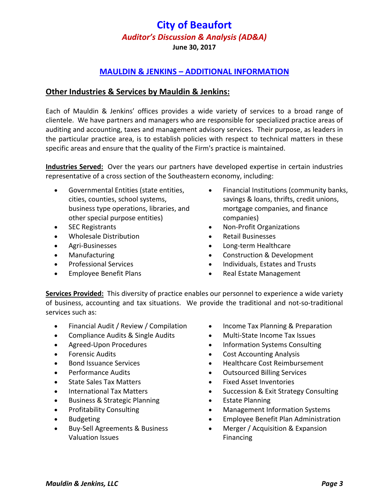**June 30, 2017**

### **MAULDIN & JENKINS – ADDITIONAL INFORMATION**

#### **Other Industries & Services by Mauldin & Jenkins:**

Each of Mauldin & Jenkins' offices provides a wide variety of services to a broad range of clientele. We have partners and managers who are responsible for specialized practice areas of auditing and accounting, taxes and management advisory services. Their purpose, as leaders in the particular practice area, is to establish policies with respect to technical matters in these specific areas and ensure that the quality of the Firm's practice is maintained.

**Industries Served:** Over the years our partners have developed expertise in certain industries representative of a cross section of the Southeastern economy, including:

- Governmental Entities (state entities, cities, counties, school systems, business type operations, libraries, and other special purpose entities)
- SEC Registrants
- Wholesale Distribution
- Agri‐Businesses
- Manufacturing
- Professional Services
- Employee Benefit Plans
- Financial Institutions (community banks, savings & loans, thrifts, credit unions, mortgage companies, and finance companies)
- Non‐Profit Organizations
- Retail Businesses
- Long‐term Healthcare
- Construction & Development
- Individuals, Estates and Trusts
- Real Estate Management

**Services Provided:** This diversity of practice enables our personnel to experience a wide variety of business, accounting and tax situations. We provide the traditional and not‐so‐traditional services such as:

- Financial Audit / Review / Compilation
- Compliance Audits & Single Audits
- Agreed‐Upon Procedures
- Forensic Audits
- Bond Issuance Services
- Performance Audits
- State Sales Tax Matters
- International Tax Matters
- Business & Strategic Planning
- Profitability Consulting
- Budgeting
- Buy-Sell Agreements & Business Valuation Issues
- Income Tax Planning & Preparation
- Multi-State Income Tax Issues
- Information Systems Consulting
- Cost Accounting Analysis
- Healthcare Cost Reimbursement
- Outsourced Billing Services
- Fixed Asset Inventories
- Succession & Exit Strategy Consulting
- Estate Planning
- Management Information Systems
- Employee Benefit Plan Administration
- Merger / Acquisition & Expansion Financing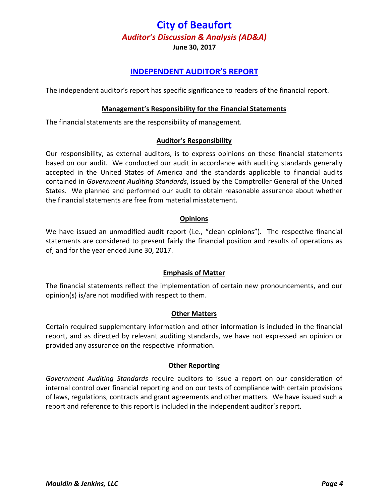**June 30, 2017**

#### **INDEPENDENT AUDITOR'S REPORT**

The independent auditor's report has specific significance to readers of the financial report.

#### **Management's Responsibility for the Financial Statements**

The financial statements are the responsibility of management.

#### **Auditor's Responsibility**

Our responsibility, as external auditors, is to express opinions on these financial statements based on our audit. We conducted our audit in accordance with auditing standards generally accepted in the United States of America and the standards applicable to financial audits contained in *Government Auditing Standards*, issued by the Comptroller General of the United States. We planned and performed our audit to obtain reasonable assurance about whether the financial statements are free from material misstatement.

#### **Opinions**

We have issued an unmodified audit report (i.e., "clean opinions"). The respective financial statements are considered to present fairly the financial position and results of operations as of, and for the year ended June 30, 2017.

#### **Emphasis of Matter**

The financial statements reflect the implementation of certain new pronouncements, and our opinion(s) is/are not modified with respect to them.

#### **Other Matters**

Certain required supplementary information and other information is included in the financial report, and as directed by relevant auditing standards, we have not expressed an opinion or provided any assurance on the respective information.

#### **Other Reporting**

*Government Auditing Standards* require auditors to issue a report on our consideration of internal control over financial reporting and on our tests of compliance with certain provisions of laws, regulations, contracts and grant agreements and other matters. We have issued such a report and reference to this report is included in the independent auditor's report.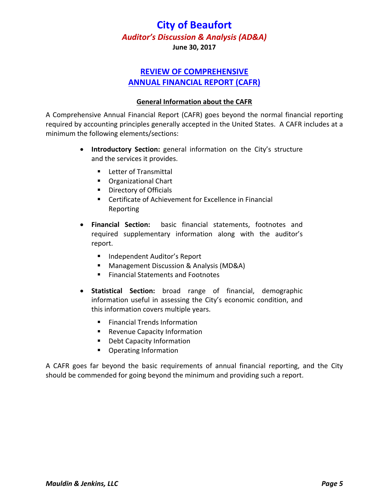**June 30, 2017**

### **REVIEW OF COMPREHENSIVE ANNUAL FINANCIAL REPORT (CAFR)**

#### **General Information about the CAFR**

A Comprehensive Annual Financial Report (CAFR) goes beyond the normal financial reporting required by accounting principles generally accepted in the United States. A CAFR includes at a minimum the following elements/sections:

- **Introductory Section:** general information on the City's structure and the services it provides.
	- **Letter of Transmittal**
	- **C**rganizational Chart
	- **Directory of Officials**
	- Certificate of Achievement for Excellence in Financial Reporting
- **Financial Section:** basic financial statements, footnotes and required supplementary information along with the auditor's report.
	- **Independent Auditor's Report**
	- Management Discussion & Analysis (MD&A)
	- **Financial Statements and Footnotes**
- **Statistical Section:** broad range of financial, demographic information useful in assessing the City's economic condition, and this information covers multiple years.
	- **Financial Trends Information**
	- **Revenue Capacity Information**
	- **Debt Capacity Information**
	- **•** Operating Information

A CAFR goes far beyond the basic requirements of annual financial reporting, and the City should be commended for going beyond the minimum and providing such a report.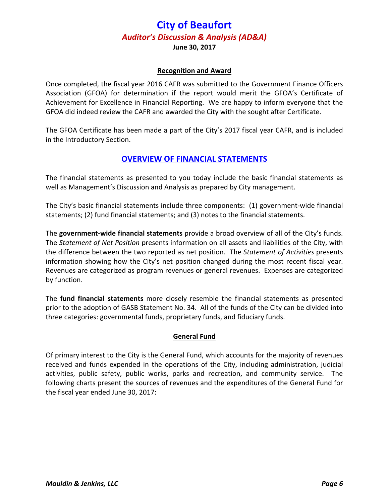**June 30, 2017**

#### **Recognition and Award**

Once completed, the fiscal year 2016 CAFR was submitted to the Government Finance Officers Association (GFOA) for determination if the report would merit the GFOA's Certificate of Achievement for Excellence in Financial Reporting. We are happy to inform everyone that the GFOA did indeed review the CAFR and awarded the City with the sought after Certificate.

The GFOA Certificate has been made a part of the City's 2017 fiscal year CAFR, and is included in the Introductory Section.

#### **OVERVIEW OF FINANCIAL STATEMENTS**

The financial statements as presented to you today include the basic financial statements as well as Management's Discussion and Analysis as prepared by City management.

The City's basic financial statements include three components: (1) government‐wide financial statements; (2) fund financial statements; and (3) notes to the financial statements.

The **government‐wide financial statements** provide a broad overview of all of the City's funds. The *Statement of Net Position* presents information on all assets and liabilities of the City, with the difference between the two reported as net position. The *Statement of Activities* presents information showing how the City's net position changed during the most recent fiscal year. Revenues are categorized as program revenues or general revenues. Expenses are categorized by function.

The **fund financial statements** more closely resemble the financial statements as presented prior to the adoption of GASB Statement No. 34. All of the funds of the City can be divided into three categories: governmental funds, proprietary funds, and fiduciary funds.

#### **General Fund**

Of primary interest to the City is the General Fund, which accounts for the majority of revenues received and funds expended in the operations of the City, including administration, judicial activities, public safety, public works, parks and recreation, and community service. The following charts present the sources of revenues and the expenditures of the General Fund for the fiscal year ended June 30, 2017: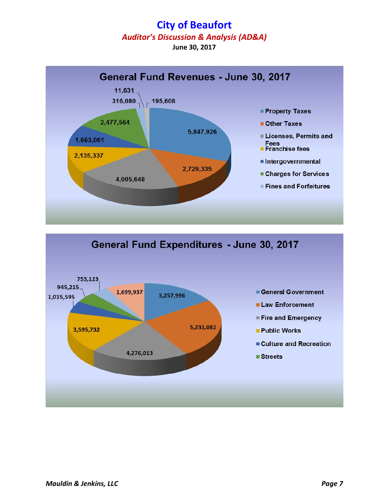# **City of Beaufort**

*Auditor's Discussion & Analysis (AD&A)* 

**June 30, 2017**



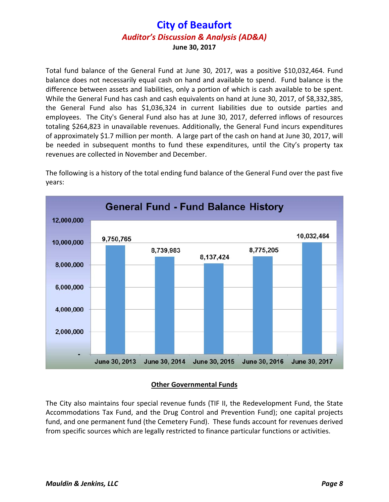Total fund balance of the General Fund at June 30, 2017, was a positive \$10,032,464. Fund balance does not necessarily equal cash on hand and available to spend. Fund balance is the difference between assets and liabilities, only a portion of which is cash available to be spent. While the General Fund has cash and cash equivalents on hand at June 30, 2017, of \$8,332,385, the General Fund also has \$1,036,324 in current liabilities due to outside parties and employees. The City's General Fund also has at June 30, 2017, deferred inflows of resources totaling \$264,823 in unavailable revenues. Additionally, the General Fund incurs expenditures of approximately \$1.7 million per month. A large part of the cash on hand at June 30, 2017, will be needed in subsequent months to fund these expenditures, until the City's property tax revenues are collected in November and December.

The following is a history of the total ending fund balance of the General Fund over the past five years:



#### **Other Governmental Funds**

The City also maintains four special revenue funds (TIF II, the Redevelopment Fund, the State Accommodations Tax Fund, and the Drug Control and Prevention Fund); one capital projects fund, and one permanent fund (the Cemetery Fund). These funds account for revenues derived from specific sources which are legally restricted to finance particular functions or activities.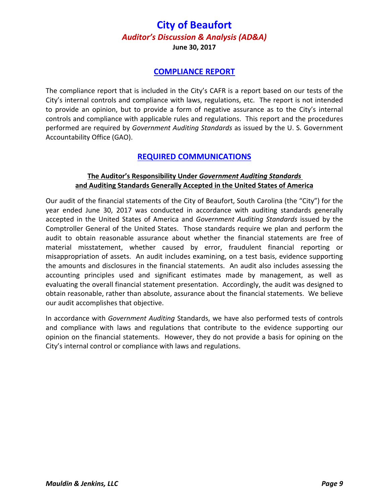**June 30, 2017**

#### **COMPLIANCE REPORT**

The compliance report that is included in the City's CAFR is a report based on our tests of the City's internal controls and compliance with laws, regulations, etc. The report is not intended to provide an opinion, but to provide a form of negative assurance as to the City's internal controls and compliance with applicable rules and regulations. This report and the procedures performed are required by *Government Auditing Standards* as issued by the U. S. Government Accountability Office (GAO).

#### **REQUIRED COMMUNICATIONS**

#### **The Auditor's Responsibility Under** *Government Auditing Standards*  **and Auditing Standards Generally Accepted in the United States of America**

Our audit of the financial statements of the City of Beaufort, South Carolina (the "City") for the year ended June 30, 2017 was conducted in accordance with auditing standards generally accepted in the United States of America and *Government Auditing Standards* issued by the Comptroller General of the United States. Those standards require we plan and perform the audit to obtain reasonable assurance about whether the financial statements are free of material misstatement, whether caused by error, fraudulent financial reporting or misappropriation of assets. An audit includes examining, on a test basis, evidence supporting the amounts and disclosures in the financial statements. An audit also includes assessing the accounting principles used and significant estimates made by management, as well as evaluating the overall financial statement presentation. Accordingly, the audit was designed to obtain reasonable, rather than absolute, assurance about the financial statements. We believe our audit accomplishes that objective.

In accordance with *Government Auditing* Standards, we have also performed tests of controls and compliance with laws and regulations that contribute to the evidence supporting our opinion on the financial statements. However, they do not provide a basis for opining on the City's internal control or compliance with laws and regulations.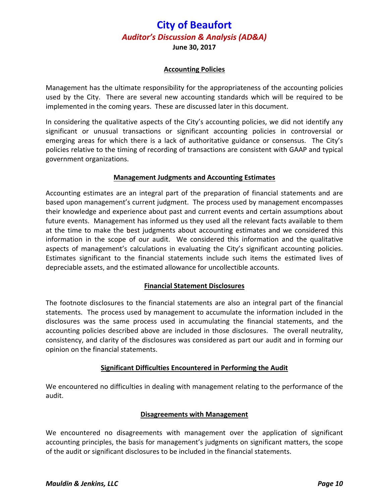**June 30, 2017**

#### **Accounting Policies**

Management has the ultimate responsibility for the appropriateness of the accounting policies used by the City. There are several new accounting standards which will be required to be implemented in the coming years. These are discussed later in this document.

In considering the qualitative aspects of the City's accounting policies, we did not identify any significant or unusual transactions or significant accounting policies in controversial or emerging areas for which there is a lack of authoritative guidance or consensus. The City's policies relative to the timing of recording of transactions are consistent with GAAP and typical government organizations.

#### **Management Judgments and Accounting Estimates**

Accounting estimates are an integral part of the preparation of financial statements and are based upon management's current judgment. The process used by management encompasses their knowledge and experience about past and current events and certain assumptions about future events. Management has informed us they used all the relevant facts available to them at the time to make the best judgments about accounting estimates and we considered this information in the scope of our audit. We considered this information and the qualitative aspects of management's calculations in evaluating the City's significant accounting policies. Estimates significant to the financial statements include such items the estimated lives of depreciable assets, and the estimated allowance for uncollectible accounts.

#### **Financial Statement Disclosures**

The footnote disclosures to the financial statements are also an integral part of the financial statements. The process used by management to accumulate the information included in the disclosures was the same process used in accumulating the financial statements, and the accounting policies described above are included in those disclosures. The overall neutrality, consistency, and clarity of the disclosures was considered as part our audit and in forming our opinion on the financial statements.

#### **Significant Difficulties Encountered in Performing the Audit**

We encountered no difficulties in dealing with management relating to the performance of the audit.

#### **Disagreements with Management**

We encountered no disagreements with management over the application of significant accounting principles, the basis for management's judgments on significant matters, the scope of the audit or significant disclosures to be included in the financial statements.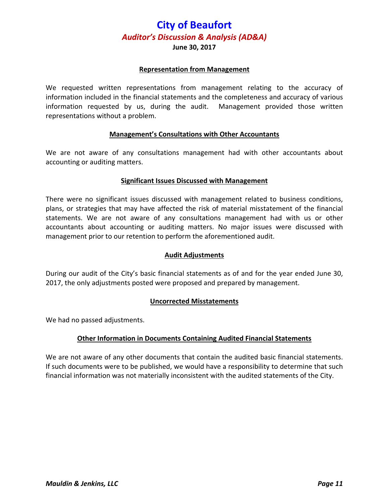#### **June 30, 2017**

#### **Representation from Management**

We requested written representations from management relating to the accuracy of information included in the financial statements and the completeness and accuracy of various information requested by us, during the audit. Management provided those written representations without a problem.

#### **Management's Consultations with Other Accountants**

We are not aware of any consultations management had with other accountants about accounting or auditing matters.

#### **Significant Issues Discussed with Management**

There were no significant issues discussed with management related to business conditions, plans, or strategies that may have affected the risk of material misstatement of the financial statements. We are not aware of any consultations management had with us or other accountants about accounting or auditing matters. No major issues were discussed with management prior to our retention to perform the aforementioned audit.

#### **Audit Adjustments**

During our audit of the City's basic financial statements as of and for the year ended June 30, 2017, the only adjustments posted were proposed and prepared by management.

#### **Uncorrected Misstatements**

We had no passed adjustments.

#### **Other Information in Documents Containing Audited Financial Statements**

We are not aware of any other documents that contain the audited basic financial statements. If such documents were to be published, we would have a responsibility to determine that such financial information was not materially inconsistent with the audited statements of the City.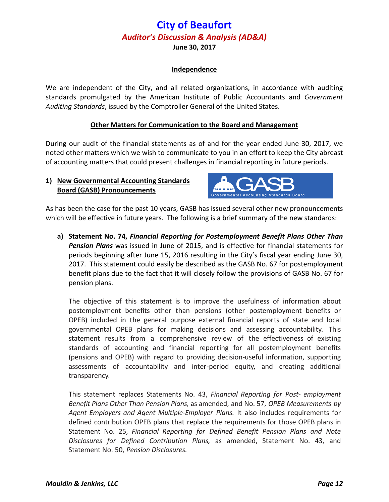**June 30, 2017**

#### **Independence**

We are independent of the City, and all related organizations, in accordance with auditing standards promulgated by the American Institute of Public Accountants and *Government Auditing Standards*, issued by the Comptroller General of the United States.

#### **Other Matters for Communication to the Board and Management**

During our audit of the financial statements as of and for the year ended June 30, 2017, we noted other matters which we wish to communicate to you in an effort to keep the City abreast of accounting matters that could present challenges in financial reporting in future periods.

#### **1) New Governmental Accounting Standards Board (GASB) Pronouncements**



As has been the case for the past 10 years, GASB has issued several other new pronouncements which will be effective in future years. The following is a brief summary of the new standards:

**a) Statement No. 74,** *Financial Reporting for Postemployment Benefit Plans Other Than Pension Plans* was issued in June of 2015, and is effective for financial statements for periods beginning after June 15, 2016 resulting in the City's fiscal year ending June 30, 2017. This statement could easily be described as the GASB No. 67 for postemployment benefit plans due to the fact that it will closely follow the provisions of GASB No. 67 for pension plans.

The objective of this statement is to improve the usefulness of information about postemployment benefits other than pensions (other postemployment benefits or OPEB) included in the general purpose external financial reports of state and local governmental OPEB plans for making decisions and assessing accountability. This statement results from a comprehensive review of the effectiveness of existing standards of accounting and financial reporting for all postemployment benefits (pensions and OPEB) with regard to providing decision‐useful information, supporting assessments of accountability and inter‐period equity, and creating additional transparency.

This statement replaces Statements No. 43, *Financial Reporting for Post‐ employment Benefit Plans Other Than Pension Plans,* as amended, and No. 57, *OPEB Measurements by Agent Employers and Agent Multiple‐Employer Plans.* It also includes requirements for defined contribution OPEB plans that replace the requirements for those OPEB plans in Statement No. 25, *Financial Reporting for Defined Benefit Pension Plans and Note Disclosures for Defined Contribution Plans,* as amended, Statement No. 43, and Statement No. 50, *Pension Disclosures.*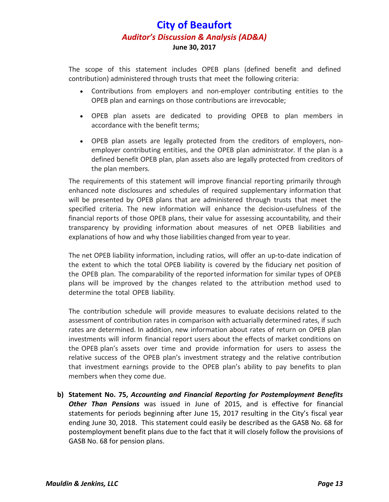The scope of this statement includes OPEB plans (defined benefit and defined contribution) administered through trusts that meet the following criteria:

- Contributions from employers and non‐employer contributing entities to the OPEB plan and earnings on those contributions are irrevocable;
- OPEB plan assets are dedicated to providing OPEB to plan members in accordance with the benefit terms;
- OPEB plan assets are legally protected from the creditors of employers, non‐ employer contributing entities, and the OPEB plan administrator. If the plan is a defined benefit OPEB plan, plan assets also are legally protected from creditors of the plan members.

The requirements of this statement will improve financial reporting primarily through enhanced note disclosures and schedules of required supplementary information that will be presented by OPEB plans that are administered through trusts that meet the specified criteria. The new information will enhance the decision-usefulness of the financial reports of those OPEB plans, their value for assessing accountability, and their transparency by providing information about measures of net OPEB liabilities and explanations of how and why those liabilities changed from year to year.

The net OPEB liability information, including ratios, will offer an up‐to‐date indication of the extent to which the total OPEB liability is covered by the fiduciary net position of the OPEB plan. The comparability of the reported information for similar types of OPEB plans will be improved by the changes related to the attribution method used to determine the total OPEB liability.

The contribution schedule will provide measures to evaluate decisions related to the assessment of contribution rates in comparison with actuarially determined rates, if such rates are determined. In addition, new information about rates of return on OPEB plan investments will inform financial report users about the effects of market conditions on the OPEB plan's assets over time and provide information for users to assess the relative success of the OPEB plan's investment strategy and the relative contribution that investment earnings provide to the OPEB plan's ability to pay benefits to plan members when they come due.

**b) Statement No. 75,** *Accounting and Financial Reporting for Postemployment Benefits Other Than Pensions* was issued in June of 2015, and is effective for financial statements for periods beginning after June 15, 2017 resulting in the City's fiscal year ending June 30, 2018. This statement could easily be described as the GASB No. 68 for postemployment benefit plans due to the fact that it will closely follow the provisions of GASB No. 68 for pension plans.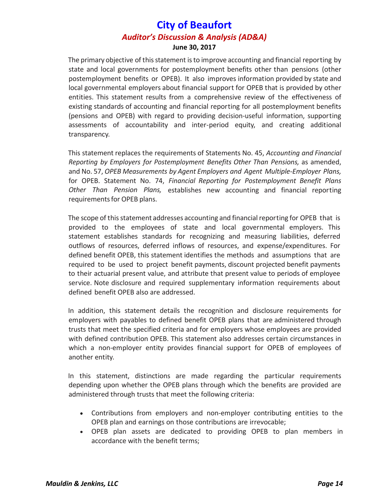The primary objective of this statement is to improve accounting and financial reporting by state and local governments for postemployment benefits other than pensions (other postemployment benefits or OPEB). It also improves information provided by state and local governmental employers about financial support for OPEB that is provided by other entities. This statement results from a comprehensive review of the effectiveness of existing standards of accounting and financial reporting for all postemployment benefits (pensions and OPEB) with regard to providing decision‐useful information, supporting assessments of accountability and inter‐period equity, and creating additional transparency.

This statement replaces the requirements of Statements No. 45, *Accounting and Financial Reporting by Employers for Postemployment Benefits Other Than Pensions,* as amended, and No. 57, *OPEB Measurements by Agent Employers and Agent Multiple‐Employer Plans,* for OPEB. Statement No. 74, *Financial Reporting for Postemployment Benefit Plans Other Than Pension Plans,* establishes new accounting and financial reporting requirements for OPEB plans.

The scope of this statement addresses accounting and financial reporting for OPEB that is provided to the employees of state and local governmental employers. This statement establishes standards for recognizing and measuring liabilities, deferred outflows of resources, deferred inflows of resources, and expense/expenditures. For defined benefit OPEB, this statement identifies the methods and assumptions that are required to be used to project benefit payments, discount projected benefit payments to their actuarial present value, and attribute that present value to periods of employee service. Note disclosure and required supplementary information requirements about defined benefit OPEB also are addressed.

In addition, this statement details the recognition and disclosure requirements for employers with payables to defined benefit OPEB plans that are administered through trusts that meet the specified criteria and for employers whose employees are provided with defined contribution OPEB. This statement also addresses certain circumstances in which a non-employer entity provides financial support for OPEB of employees of another entity.

In this statement, distinctions are made regarding the particular requirements depending upon whether the OPEB plans through which the benefits are provided are administered through trusts that meet the following criteria:

- Contributions from employers and non‐employer contributing entities to the OPEB plan and earnings on those contributions are irrevocable;
- OPEB plan assets are dedicated to providing OPEB to plan members in accordance with the benefit terms;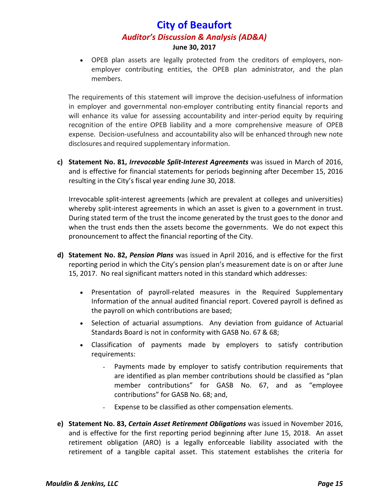OPEB plan assets are legally protected from the creditors of employers, non‐ employer contributing entities, the OPEB plan administrator, and the plan members.

The requirements of this statement will improve the decision‐usefulness of information in employer and governmental non‐employer contributing entity financial reports and will enhance its value for assessing accountability and inter-period equity by requiring recognition of the entire OPEB liability and a more comprehensive measure of OPEB expense. Decision-usefulness and accountability also will be enhanced through new note disclosures and required supplementary information.

**c) Statement No. 81,** *Irrevocable Split‐Interest Agreements* was issued in March of 2016, and is effective for financial statements for periods beginning after December 15, 2016 resulting in the City's fiscal year ending June 30, 2018.

Irrevocable split‐interest agreements (which are prevalent at colleges and universities) whereby split-interest agreements in which an asset is given to a government in trust. During stated term of the trust the income generated by the trust goes to the donor and when the trust ends then the assets become the governments. We do not expect this pronouncement to affect the financial reporting of the City.

- **d) Statement No. 82,** *Pension Plans* was issued in April 2016, and is effective for the first reporting period in which the City's pension plan's measurement date is on or after June 15, 2017. No real significant matters noted in this standard which addresses:
	- Presentation of payroll‐related measures in the Required Supplementary Information of the annual audited financial report. Covered payroll is defined as the payroll on which contributions are based;
	- Selection of actuarial assumptions. Any deviation from guidance of Actuarial Standards Board is not in conformity with GASB No. 67 & 68;
	- Classification of payments made by employers to satisfy contribution requirements:
		- Payments made by employer to satisfy contribution requirements that are identified as plan member contributions should be classified as "plan member contributions" for GASB No. 67, and as "employee contributions" for GASB No. 68; and,
		- Expense to be classified as other compensation elements.
- **e) Statement No. 83,** *Certain Asset Retirement Obligations* was issued in November 2016, and is effective for the first reporting period beginning after June 15, 2018. An asset retirement obligation (ARO) is a legally enforceable liability associated with the retirement of a tangible capital asset. This statement establishes the criteria for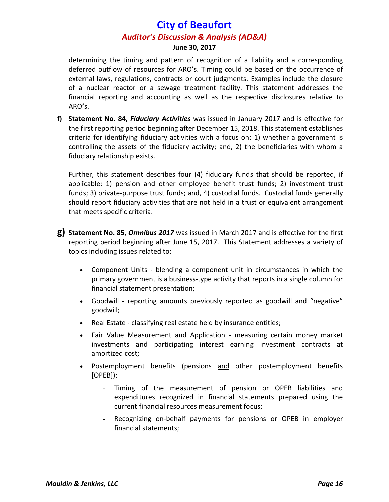determining the timing and pattern of recognition of a liability and a corresponding deferred outflow of resources for ARO's. Timing could be based on the occurrence of external laws, regulations, contracts or court judgments. Examples include the closure of a nuclear reactor or a sewage treatment facility. This statement addresses the financial reporting and accounting as well as the respective disclosures relative to ARO's.

**f) Statement No. 84,** *Fiduciary Activities* was issued in January 2017 and is effective for the first reporting period beginning after December 15, 2018. This statement establishes criteria for identifying fiduciary activities with a focus on: 1) whether a government is controlling the assets of the fiduciary activity; and, 2) the beneficiaries with whom a fiduciary relationship exists.

Further, this statement describes four (4) fiduciary funds that should be reported, if applicable: 1) pension and other employee benefit trust funds; 2) investment trust funds; 3) private-purpose trust funds; and, 4) custodial funds. Custodial funds generally should report fiduciary activities that are not held in a trust or equivalent arrangement that meets specific criteria.

- **g) Statement No. 85,** *Omnibus 2017* was issued in March 2017 and is effective for the first reporting period beginning after June 15, 2017. This Statement addresses a variety of topics including issues related to:
	- Component Units blending a component unit in circumstances in which the primary government is a business‐type activity that reports in a single column for financial statement presentation;
	- Goodwill reporting amounts previously reported as goodwill and "negative" goodwill;
	- Real Estate classifying real estate held by insurance entities;
	- Fair Value Measurement and Application measuring certain money market investments and participating interest earning investment contracts at amortized cost;
	- Postemployment benefits (pensions and other postemployment benefits [OPEB]):
		- Timing of the measurement of pension or OPEB liabilities and expenditures recognized in financial statements prepared using the current financial resources measurement focus;
		- Recognizing on-behalf payments for pensions or OPEB in employer financial statements;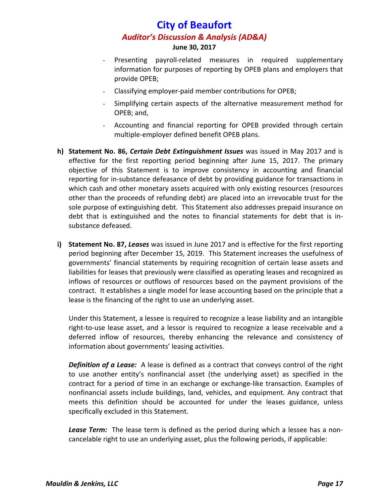- Presenting payroll-related measures in required supplementary information for purposes of reporting by OPEB plans and employers that provide OPEB;
- Classifying employer‐paid member contributions for OPEB;
- Simplifying certain aspects of the alternative measurement method for OPEB; and,
- Accounting and financial reporting for OPEB provided through certain multiple‐employer defined benefit OPEB plans.
- **h) Statement No. 86,** *Certain Debt Extinguishment Issues* was issued in May 2017 and is effective for the first reporting period beginning after June 15, 2017. The primary objective of this Statement is to improve consistency in accounting and financial reporting for in‐substance defeasance of debt by providing guidance for transactions in which cash and other monetary assets acquired with only existing resources (resources other than the proceeds of refunding debt) are placed into an irrevocable trust for the sole purpose of extinguishing debt. This Statement also addresses prepaid insurance on debt that is extinguished and the notes to financial statements for debt that is in‐ substance defeased.
- **i) Statement No. 87,** *Leases* was issued in June 2017 and is effective for the first reporting period beginning after December 15, 2019. This Statement increases the usefulness of governments' financial statements by requiring recognition of certain lease assets and liabilities for leases that previously were classified as operating leases and recognized as inflows of resources or outflows of resources based on the payment provisions of the contract. It establishes a single model for lease accounting based on the principle that a lease is the financing of the right to use an underlying asset.

Under this Statement, a lessee is required to recognize a lease liability and an intangible right-to-use lease asset, and a lessor is required to recognize a lease receivable and a deferred inflow of resources, thereby enhancing the relevance and consistency of information about governments' leasing activities.

*Definition of a Lease:* A lease is defined as a contract that conveys control of the right to use another entity's nonfinancial asset (the underlying asset) as specified in the contract for a period of time in an exchange or exchange‐like transaction. Examples of nonfinancial assets include buildings, land, vehicles, and equipment. Any contract that meets this definition should be accounted for under the leases guidance, unless specifically excluded in this Statement.

**Lease Term:** The lease term is defined as the period during which a lessee has a noncancelable right to use an underlying asset, plus the following periods, if applicable: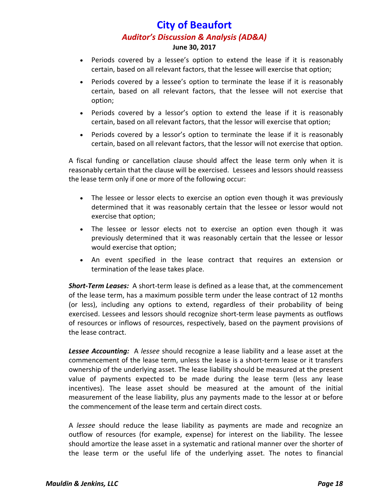- Periods covered by a lessee's option to extend the lease if it is reasonably certain, based on all relevant factors, that the lessee will exercise that option;
- Periods covered by a lessee's option to terminate the lease if it is reasonably certain, based on all relevant factors, that the lessee will not exercise that option;
- Periods covered by a lessor's option to extend the lease if it is reasonably certain, based on all relevant factors, that the lessor will exercise that option;
- Periods covered by a lessor's option to terminate the lease if it is reasonably certain, based on all relevant factors, that the lessor will not exercise that option.

A fiscal funding or cancellation clause should affect the lease term only when it is reasonably certain that the clause will be exercised. Lessees and lessors should reassess the lease term only if one or more of the following occur:

- The lessee or lessor elects to exercise an option even though it was previously determined that it was reasonably certain that the lessee or lessor would not exercise that option;
- The lessee or lessor elects not to exercise an option even though it was previously determined that it was reasonably certain that the lessee or lessor would exercise that option;
- An event specified in the lease contract that requires an extension or termination of the lease takes place.

*Short‐Term Leases:* A short‐term lease is defined as a lease that, at the commencement of the lease term, has a maximum possible term under the lease contract of 12 months (or less), including any options to extend, regardless of their probability of being exercised. Lessees and lessors should recognize short‐term lease payments as outflows of resources or inflows of resources, respectively, based on the payment provisions of the lease contract.

**Lessee Accounting:** A lessee should recognize a lease liability and a lease asset at the commencement of the lease term, unless the lease is a short-term lease or it transfers ownership of the underlying asset. The lease liability should be measured at the present value of payments expected to be made during the lease term (less any lease incentives). The lease asset should be measured at the amount of the initial measurement of the lease liability, plus any payments made to the lessor at or before the commencement of the lease term and certain direct costs.

A *lessee* should reduce the lease liability as payments are made and recognize an outflow of resources (for example, expense) for interest on the liability. The lessee should amortize the lease asset in a systematic and rational manner over the shorter of the lease term or the useful life of the underlying asset. The notes to financial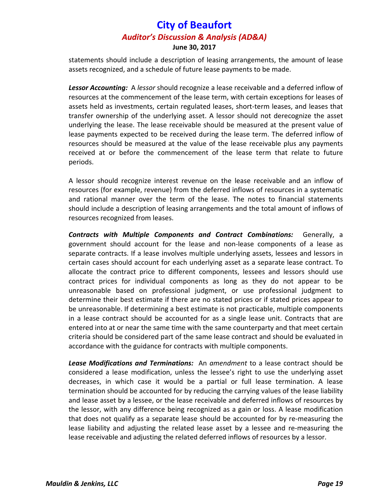statements should include a description of leasing arrangements, the amount of lease assets recognized, and a schedule of future lease payments to be made.

**Lessor Accounting:** A lessor should recognize a lease receivable and a deferred inflow of resources at the commencement of the lease term, with certain exceptions for leases of assets held as investments, certain regulated leases, short‐term leases, and leases that transfer ownership of the underlying asset. A lessor should not derecognize the asset underlying the lease. The lease receivable should be measured at the present value of lease payments expected to be received during the lease term. The deferred inflow of resources should be measured at the value of the lease receivable plus any payments received at or before the commencement of the lease term that relate to future periods.

A lessor should recognize interest revenue on the lease receivable and an inflow of resources (for example, revenue) from the deferred inflows of resources in a systematic and rational manner over the term of the lease. The notes to financial statements should include a description of leasing arrangements and the total amount of inflows of resources recognized from leases.

*Contracts with Multiple Components and Contract Combinations:*  Generally, a government should account for the lease and non‐lease components of a lease as separate contracts. If a lease involves multiple underlying assets, lessees and lessors in certain cases should account for each underlying asset as a separate lease contract. To allocate the contract price to different components, lessees and lessors should use contract prices for individual components as long as they do not appear to be unreasonable based on professional judgment, or use professional judgment to determine their best estimate if there are no stated prices or if stated prices appear to be unreasonable. If determining a best estimate is not practicable, multiple components in a lease contract should be accounted for as a single lease unit. Contracts that are entered into at or near the same time with the same counterparty and that meet certain criteria should be considered part of the same lease contract and should be evaluated in accordance with the guidance for contracts with multiple components.

*Lease Modifications and Terminations:* An *amendment* to a lease contract should be considered a lease modification, unless the lessee's right to use the underlying asset decreases, in which case it would be a partial or full lease termination. A lease termination should be accounted for by reducing the carrying values of the lease liability and lease asset by a lessee, or the lease receivable and deferred inflows of resources by the lessor, with any difference being recognized as a gain or loss. A lease modification that does not qualify as a separate lease should be accounted for by re‐measuring the lease liability and adjusting the related lease asset by a lessee and re‐measuring the lease receivable and adjusting the related deferred inflows of resources by a lessor.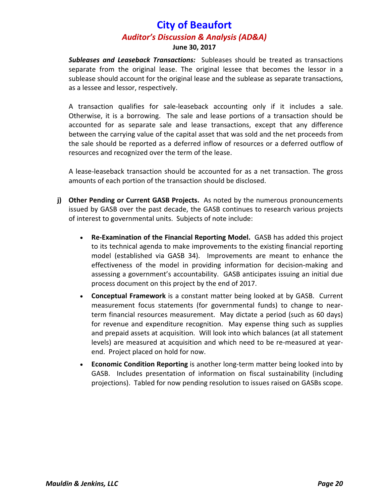*Subleases and Leaseback Transactions:* Subleases should be treated as transactions separate from the original lease. The original lessee that becomes the lessor in a sublease should account for the original lease and the sublease as separate transactions, as a lessee and lessor, respectively.

A transaction qualifies for sale‐leaseback accounting only if it includes a sale. Otherwise, it is a borrowing. The sale and lease portions of a transaction should be accounted for as separate sale and lease transactions, except that any difference between the carrying value of the capital asset that was sold and the net proceeds from the sale should be reported as a deferred inflow of resources or a deferred outflow of resources and recognized over the term of the lease.

A lease‐leaseback transaction should be accounted for as a net transaction. The gross amounts of each portion of the transaction should be disclosed.

- **j) Other Pending or Current GASB Projects.** As noted by the numerous pronouncements issued by GASB over the past decade, the GASB continues to research various projects of interest to governmental units. Subjects of note include:
	- **Re‐Examination of the Financial Reporting Model.** GASB has added this project to its technical agenda to make improvements to the existing financial reporting model (established via GASB 34). Improvements are meant to enhance the effectiveness of the model in providing information for decision‐making and assessing a government's accountability. GASB anticipates issuing an initial due process document on this project by the end of 2017.
	- **Conceptual Framework** is a constant matter being looked at by GASB. Current measurement focus statements (for governmental funds) to change to near‐ term financial resources measurement. May dictate a period (such as 60 days) for revenue and expenditure recognition. May expense thing such as supplies and prepaid assets at acquisition. Will look into which balances (at all statement levels) are measured at acquisition and which need to be re-measured at yearend. Project placed on hold for now.
	- **Economic Condition Reporting** is another long‐term matter being looked into by GASB. Includes presentation of information on fiscal sustainability (including projections). Tabled for now pending resolution to issues raised on GASBs scope.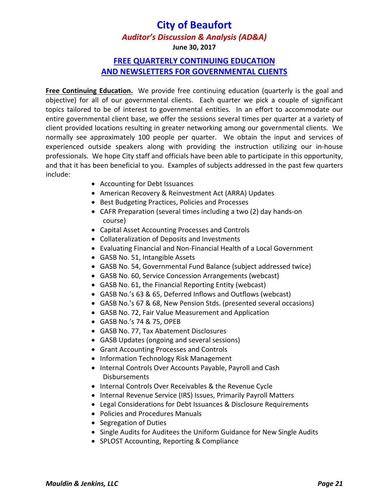# **City of Beaufort**

#### *Auditor's Discussion & Analysis (AD&A)*

**June 30, 2017**

### **FREE QUARTERLY CONTINUING EDUCATION AND NEWSLETTERS FOR GOVERNMENTAL CLIENTS**

**Free Continuing Education.** We provide free continuing education (quarterly is the goal and objective) for all of our governmental clients. Each quarter we pick a couple of significant topics tailored to be of interest to governmental entities. In an effort to accommodate our entire governmental client base, we offer the sessions several times per quarter at a variety of client provided locations resulting in greater networking among our governmental clients. We normally see approximately 100 people per quarter. We obtain the input and services of experienced outside speakers along with providing the instruction utilizing our in-house professionals. We hope City staff and officials have been able to participate in this opportunity, and that it has been beneficial to you. Examples of subjects addressed in the past few quarters include:

- Accounting for Debt Issuances
- American Recovery & Reinvestment Act (ARRA) Updates
- Best Budgeting Practices, Policies and Processes
- CAFR Preparation (several times including a two (2) day hands‐on course)
- Capital Asset Accounting Processes and Controls
- Collateralization of Deposits and Investments
- Evaluating Financial and Non‐Financial Health of a Local Government
- GASB No. 51, Intangible Assets
- GASB No. 54, Governmental Fund Balance (subject addressed twice)
- GASB No. 60, Service Concession Arrangements (webcast)
- GASB No. 61, the Financial Reporting Entity (webcast)
- GASB No.'s 63 & 65, Deferred Inflows and Outflows (webcast)
- GASB No.'s 67 & 68, New Pension Stds. (presented several occasions)
- GASB No. 72, Fair Value Measurement and Application
- GASB No.'s 74 & 75, OPEB
- GASB No. 77, Tax Abatement Disclosures
- GASB Updates (ongoing and several sessions)
- Grant Accounting Processes and Controls
- Information Technology Risk Management
- Internal Controls Over Accounts Payable, Payroll and Cash Disbursements
- Internal Controls Over Receivables & the Revenue Cycle
- Internal Revenue Service (IRS) Issues, Primarily Payroll Matters
- Legal Considerations for Debt Issuances & Disclosure Requirements
- Policies and Procedures Manuals
- Segregation of Duties
- Single Audits for Auditees the Uniform Guidance for New Single Audits
- SPLOST Accounting, Reporting & Compliance